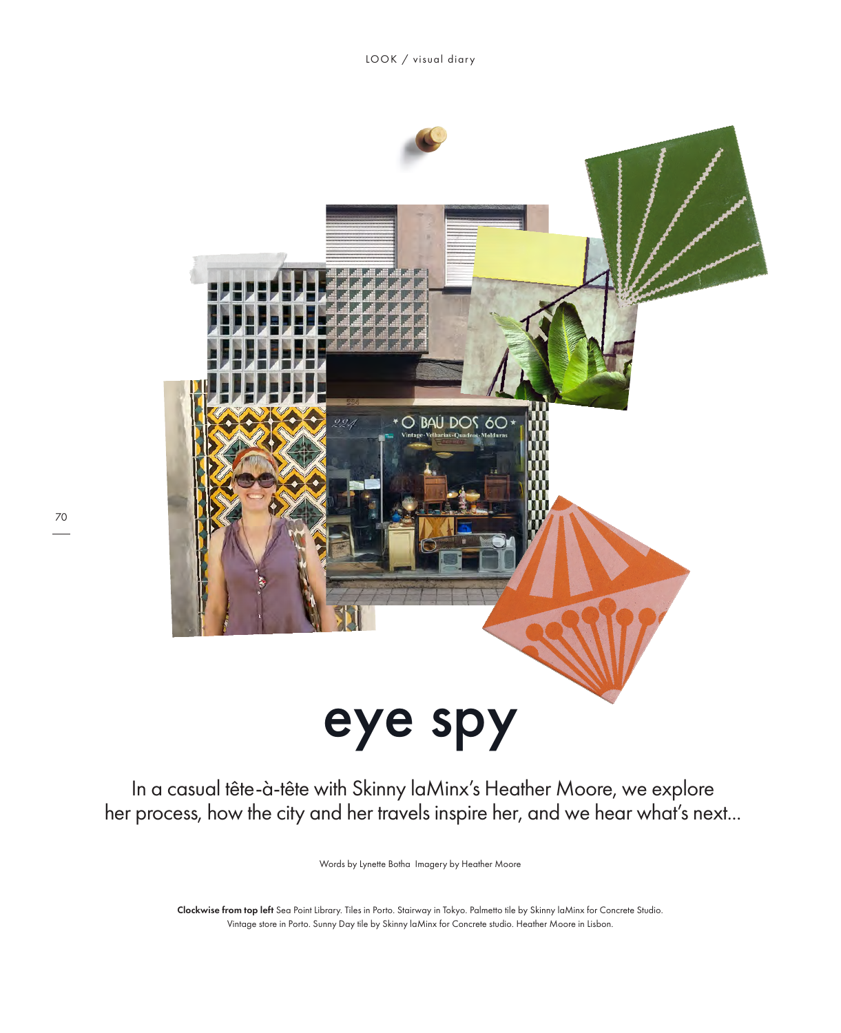

In a casual tête-à-tête with Skinny laMinx's Heather Moore, we explore her process, how the city and her travels inspire her, and we hear what's next...

Words by Lynette Botha Imagery by Heather Moore

Clockwise from top left Sea Point Library. Tiles in Porto. Stairway in Tokyo. Palmetto tile by Skinny laMinx for Concrete Studio. Vintage store in Porto. Sunny Day tile by Skinny laMinx for Concrete studio. Heather Moore in Lisbon.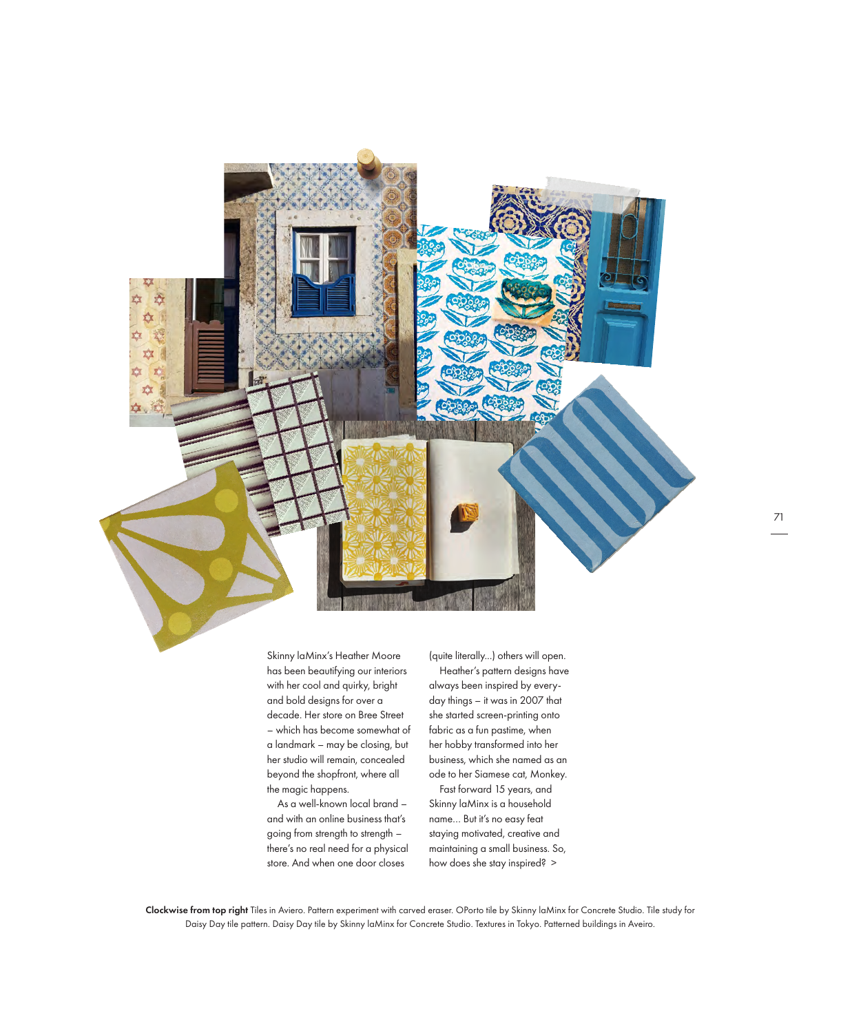

Skinny laMinx's Heather Moore has been beautifying our interiors with her cool and quirky, bright and bold designs for over a decade. Her store on Bree Street – which has become somewhat of a landmark – may be closing, but her studio will remain, concealed beyond the shopfront, where all the magic happens.

As a well-known local brand – and with an online business that's going from strength to strength there's no real need for a physical store. And when one door closes

(quite literally...) others will open. Heather's pattern designs have always been inspired by everyday things – it was in 2007 that she started screen-printing onto fabric as a fun pastime, when her hobby transformed into her business, which she named as an ode to her Siamese cat, Monkey.

Fast forward 15 years, and Skinny laMinx is a household name… But it's no easy feat staying motivated, creative and maintaining a small business. So, how does she stay inspired? >

Clockwise from top right Tiles in Aviero. Pattern experiment with carved eraser. OPorto tile by Skinny laMinx for Concrete Studio. Tile study for Daisy Day tile pattern. Daisy Day tile by Skinny laMinx for Concrete Studio. Textures in Tokyo. Patterned buildings in Aveiro.